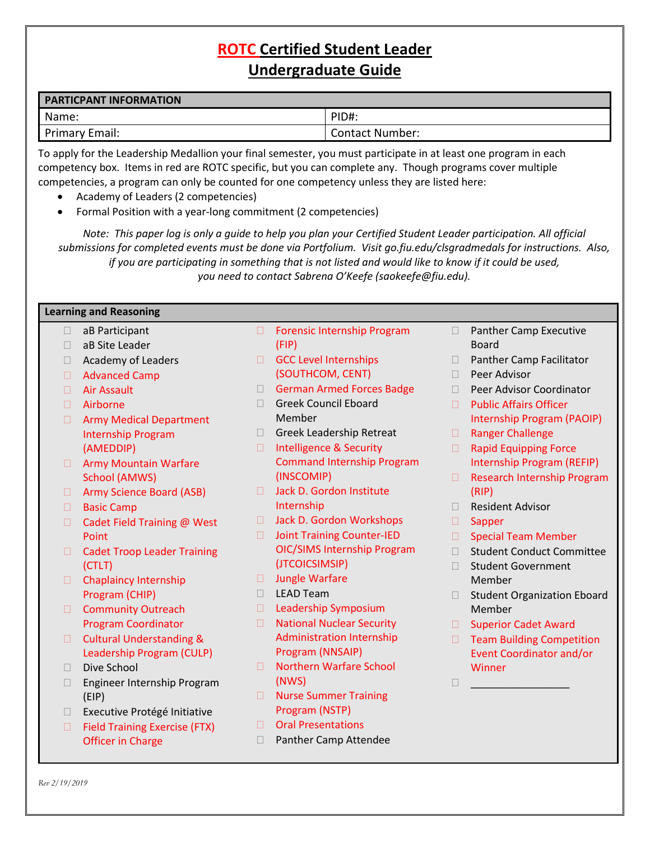# **ROTC Certified Student Leader Undergraduate Guide**

| <b>PARTICPANT INFORMATION</b> |                        |
|-------------------------------|------------------------|
| Name:                         | PID#.                  |
| Primary Email:                | <b>Contact Number:</b> |

To apply for the Leadership Medallion your final semester, you must participate in at least one program in each competency box. Items in red are ROTC specific, but you can complete any. Though programs cover multiple competencies, a program can only be counted for one competency unless they are listed here:

- Academy of Leaders (2 competencies)
- Formal Position with a year-long commitment (2 competencies)

*Note: This paper log is only a guide to help you plan your Certified Student Leader participation. All official submissions for completed events must be done via Portfolium. Visit go.fiu.edu/clsgradmedals for instructions. Also, if you are participating in something that is not listed and would like to know if it could be used, you need to contact Sabrena O'Keefe (saokeefe@fiu.edu).*

#### **Learning and Reasoning**

- □ aB Participant
- □ aB Site Leader
- $\Box$  Academy of Leaders
- □ Advanced Camp
- Air Assault
- Airborne
- **E** Army Medical Department Internship Program (AMEDDIP)
- **E** Army Mountain Warfare School (AMWS)
- □ Army Science Board (ASB)
- □ Basic Camp
- □ Cadet Field Training @ West Point
- □ Cadet Troop Leader Training (CTLT)
- Chaplaincy Internship Program (CHIP)
- Community Outreach Program Coordinator
- **Cultural Understanding &** Leadership Program (CULP)
- $\neg$  Dive School
- Engineer Internship Program (EIP)
- □ Executive Protégé Initiative
- □ Field Training Exercise (FTX) Officer in Charge
- □ Forensic Internship Program (FIP)
- GCC Level Internships (SOUTHCOM, CENT)
- German Armed Forces Badge
- Greek Council Eboard Member
- Greek Leadership Retreat
- □ Intelligence & Security Command Internship Program (INSCOMIP)
- □ Jack D. Gordon Institute Internship
- □ Jack D. Gordon Workshops
- □ Joint Training Counter-IED OIC/SIMS Internship Program (JTCOICSIMSIP)
- Jungle Warfare
- LEAD Team
- $\Box$  Leadership Symposium
- □ National Nuclear Security Administration Internship Program (NNSAIP)
- □ Northern Warfare School (NWS)
- Nurse Summer Training Program (NSTP)
- Oral Presentations
- **Panther Camp Attendee**
- $\Box$  Panther Camp Executive Board
- □ Panther Camp Facilitator
- D Peer Advisor
- D Peer Advisor Coordinator
- □ Public Affairs Officer Internship Program (PAOIP)
- □ Ranger Challenge
- □ Rapid Equipping Force Internship Program (REFIP)
- □ Research Internship Program (RIP)
- □ Resident Advisor
- □ Sapper
- □ Special Team Member
- □ Student Conduct Committee
- □ Student Government Member
- □ Student Organization Eboard Member
- □ Superior Cadet Award
- □ Team Building Competition Event Coordinator and/or **Winner**

\_\_\_\_\_\_\_\_\_\_\_\_\_\_\_\_\_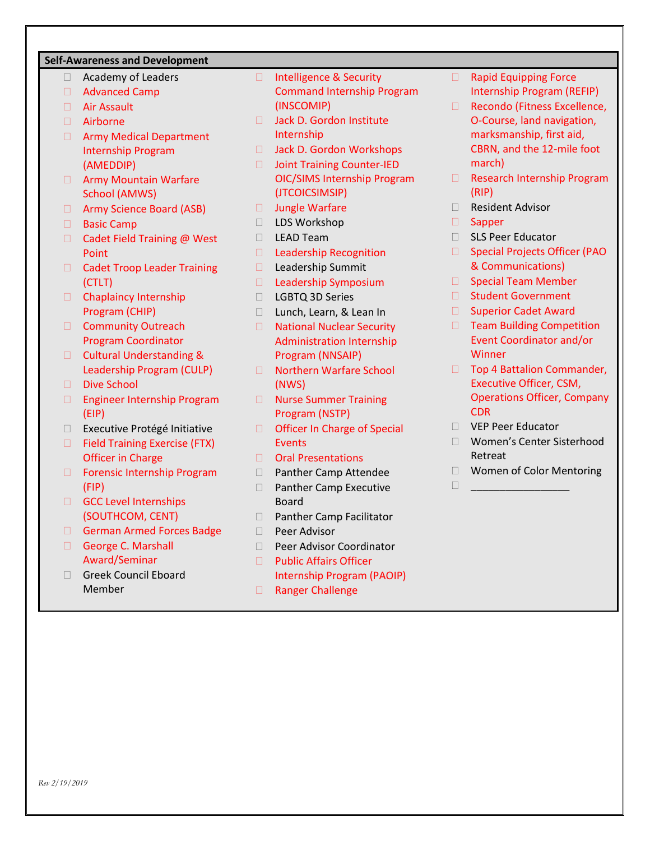# **Self-Awareness and Development**

- Academy of Leaders
- □ Advanced Camp
- Air Assault
- Airborne
- **E** Army Medical Department Internship Program (AMEDDIP)
- **E** Army Mountain Warfare School (AMWS)
- □ Army Science Board (ASB)
- □ Basic Camp
- □ Cadet Field Training @ West Point
- □ Cadet Troop Leader Training (CTLT)
- Chaplaincy Internship Program (CHIP)
- Community Outreach Program Coordinator
- **Cultural Understanding &** Leadership Program (CULP)
- Dive School
- Engineer Internship Program (EIP)
- □ Executive Protégé Initiative
- □ Field Training Exercise (FTX) Officer in Charge
- □ Forensic Internship Program (FIP)
- GCC Level Internships (SOUTHCOM, CENT)
- German Armed Forces Badge
- George C. Marshall Award/Seminar
- □ Greek Council Eboard Member
- □ Intelligence & Security Command Internship Program (INSCOMIP)
- □ Jack D. Gordon Institute Internship
- □ Jack D. Gordon Workshops
- □ Joint Training Counter-IED OIC/SIMS Internship Program (JTCOICSIMSIP)
- □ Jungle Warfare
- □ LDS Workshop
- D LEAD Team
- D Leadership Recognition
- □ Leadership Summit
- $\Box$  Leadership Symposium
- LGBTQ 3D Series
- □ Lunch, Learn, & Lean In
- □ National Nuclear Security Administration Internship Program (NNSAIP)
- □ Northern Warfare School (NWS)
- Nurse Summer Training Program (NSTP)
- □ Officer In Charge of Special **Events**
- □ Oral Presentations
- Panther Camp Attendee
- □ Panther Camp Executive Board
- □ Panther Camp Facilitator
- D Peer Advisor
- D Peer Advisor Coordinator
- □ Public Affairs Officer Internship Program (PAOIP)
- □ Ranger Challenge
- **E** Rapid Equipping Force Internship Program (REFIP)
- □ Recondo (Fitness Excellence, O-Course, land navigation, marksmanship, first aid, CBRN, and the 12-mile foot march)
- □ Research Internship Program (RIP)
- □ Resident Advisor
- □ Sapper
- □ SLS Peer Educator
- □ Special Projects Officer (PAO & Communications)
- **Special Team Member**
- □ Student Government
- □ Superior Cadet Award
- □ Team Building Competition Event Coordinator and/or Winner
- □ Top 4 Battalion Commander, Executive Officer, CSM, Operations Officer, Company CDR
- VEP Peer Educator
- Women's Center Sisterhood Retreat
- □ Women of Color Mentoring
- \_\_\_\_\_\_\_\_\_\_\_\_\_\_\_\_\_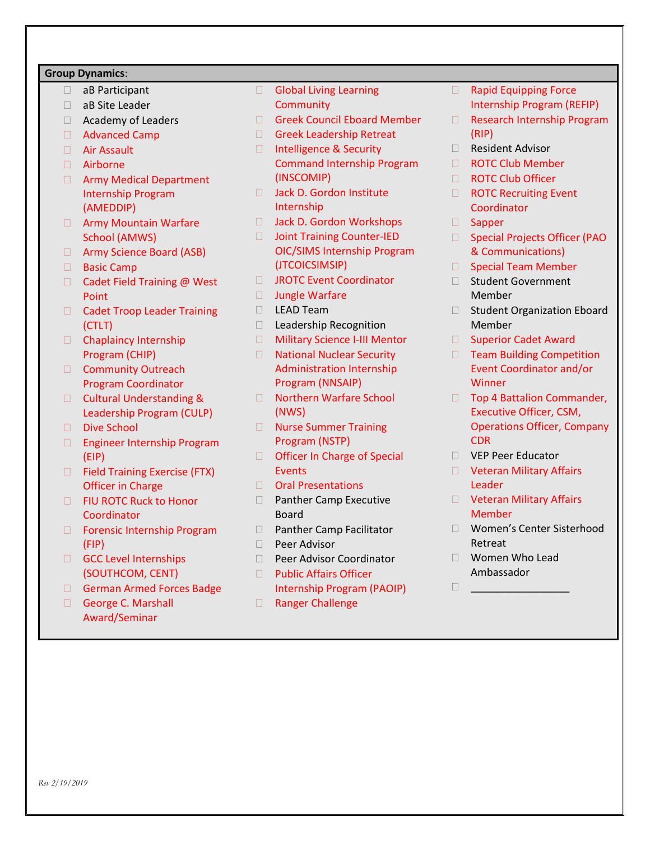## **Group Dynamics**:

- aB Participant
- aB Site Leader
- □ Academy of Leaders
- Advanced Camp
- Air Assault
- Airborne
- **E** Army Medical Department Internship Program (AMEDDIP)
- **D** Army Mountain Warfare School (AMWS)
- □ Army Science Board (ASB)
- □ Basic Camp
- □ Cadet Field Training @ West Point
- □ Cadet Troop Leader Training (CTLT)
- Chaplaincy Internship Program (CHIP)
- Community Outreach Program Coordinator
- **Cultural Understanding &** Leadership Program (CULP)
- Dive School
- □ Engineer Internship Program (EIP)
- □ Field Training Exercise (FTX) Officer in Charge
- **E** FIU ROTC Ruck to Honor **Coordinator**
- □ Forensic Internship Program (FIP)
- GCC Level Internships (SOUTHCOM, CENT)
- German Armed Forces Badge
- George C. Marshall Award/Seminar
- Global Living Learning **Community**
- Greek Council Eboard Member
- Greek Leadership Retreat
- □ Intelligence & Security Command Internship Program (INSCOMIP)
- □ Jack D. Gordon Institute Internship
- □ Jack D. Gordon Workshops
- □ Joint Training Counter-IED OIC/SIMS Internship Program (JTCOICSIMSIP)
- □ JROTC Event Coordinator
- □ Jungle Warfare
- D LEAD Team
- □ Leadership Recognition
- □ Military Science I-III Mentor
- □ National Nuclear Security Administration Internship Program (NNSAIP)
- □ Northern Warfare School (NWS)
- Nurse Summer Training Program (NSTP)
- □ Officer In Charge of Special Events
- □ Oral Presentations
- □ Panther Camp Executive Board
- □ Panther Camp Facilitator
- $\Box$  Peer Advisor
- D Peer Advisor Coordinator
- □ Public Affairs Officer Internship Program (PAOIP)
- □ Ranger Challenge
- **E** Rapid Equipping Force Internship Program (REFIP)
- □ Research Internship Program (RIP)
- Resident Advisor
- ROTC Club Member
- □ ROTC Club Officer
- **E** ROTC Recruiting Event **Coordinator**
- □ Sapper
- □ Special Projects Officer (PAO & Communications)
- $\Box$  Special Team Member
- □ Student Government Member
- □ Student Organization Eboard Member
- □ Superior Cadet Award
- □ Team Building Competition Event Coordinator and/or **Winner**
- □ Top 4 Battalion Commander, Executive Officer, CSM, Operations Officer, Company CDR
- VEP Peer Educator
- D Veteran Military Affairs Leader
- D Veteran Military Affairs **Member**
- Women's Center Sisterhood Retreat
- Women Who Lead Ambassador
- \_\_\_\_\_\_\_\_\_\_\_\_\_\_\_\_\_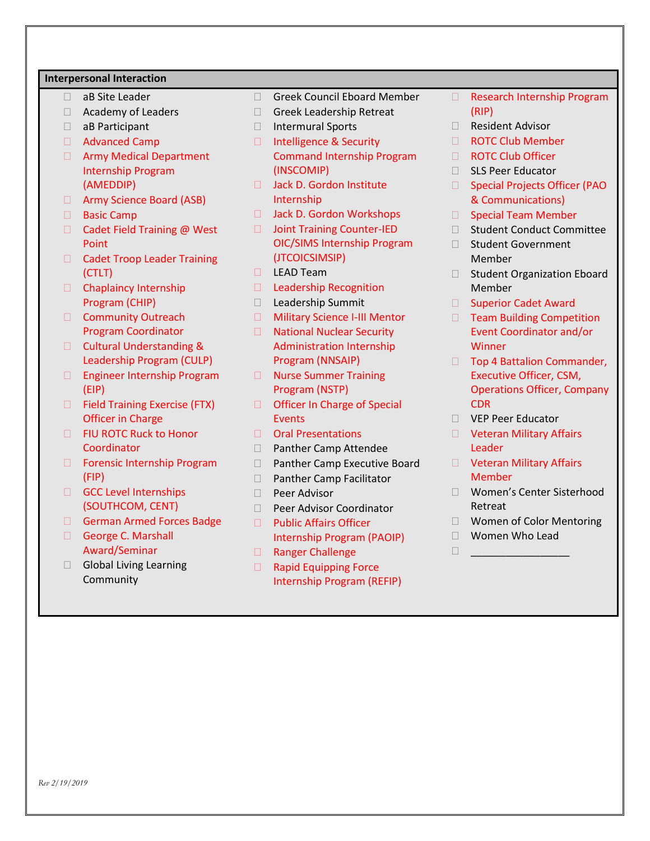#### **Interpersonal Interaction**

- □ aB Site Leader
- Academy of Leaders
- aB Participant
- □ Advanced Camp
- **E** Army Medical Department Internship Program (AMEDDIP)
- □ Army Science Board (ASB)
- □ Basic Camp
- $\Box$  Cadet Field Training @ West Point
- □ Cadet Troop Leader Training (CTLT)
- Chaplaincy Internship Program (CHIP)
- Community Outreach Program Coordinator
- □ Cultural Understanding & Leadership Program (CULP)
- Engineer Internship Program (EIP)
- □ Field Training Exercise (FTX) Officer in Charge
- FIU ROTC Ruck to Honor **Coordinator**
- □ Forensic Internship Program (FIP)
- GCC Level Internships (SOUTHCOM, CENT)
- German Armed Forces Badge
- George C. Marshall Award/Seminar
- Global Living Learning **Community**
- □ Greek Council Eboard Member
- Greek Leadership Retreat
- □ Intermural Sports
- □ Intelligence & Security Command Internship Program (INSCOMIP)
- □ Jack D. Gordon Institute Internship
- □ Jack D. Gordon Workshops
- □ Joint Training Counter-IED OIC/SIMS Internship Program (JTCOICSIMSIP)
- $\Box$  LEAD Team
- D Leadership Recognition
- □ Leadership Summit
- □ Military Science I-III Mentor
- □ National Nuclear Security Administration Internship Program (NNSAIP)
- Nurse Summer Training Program (NSTP)
- □ Officer In Charge of Special **Events**
- □ Oral Presentations
- □ Panther Camp Attendee
- □ Panther Camp Executive Board
- □ Panther Camp Facilitator
- $\Box$  Peer Advisor
- □ Peer Advisor Coordinator
- □ Public Affairs Officer Internship Program (PAOIP)
- □ Ranger Challenge
- □ Rapid Equipping Force Internship Program (REFIP)
- □ Research Internship Program (RIP)
- □ Resident Advisor
- □ ROTC Club Member
- □ ROTC Club Officer
- □ SLS Peer Educator
- □ Special Projects Officer (PAO & Communications)
- **Special Team Member**
- □ Student Conduct Committee
- □ Student Government Member
- □ Student Organization Eboard Member
- □ Superior Cadet Award
- □ Team Building Competition Event Coordinator and/or **Winner**
- □ Top 4 Battalion Commander, Executive Officer, CSM, Operations Officer, Company CDR
- VEP Peer Educator
- D Veteran Military Affairs Leader
- D Veteran Military Affairs **Member**
- Women's Center Sisterhood Retreat
- □ Women of Color Mentoring
- Women Who Lead \_\_\_\_\_\_\_\_\_\_\_\_\_\_\_\_\_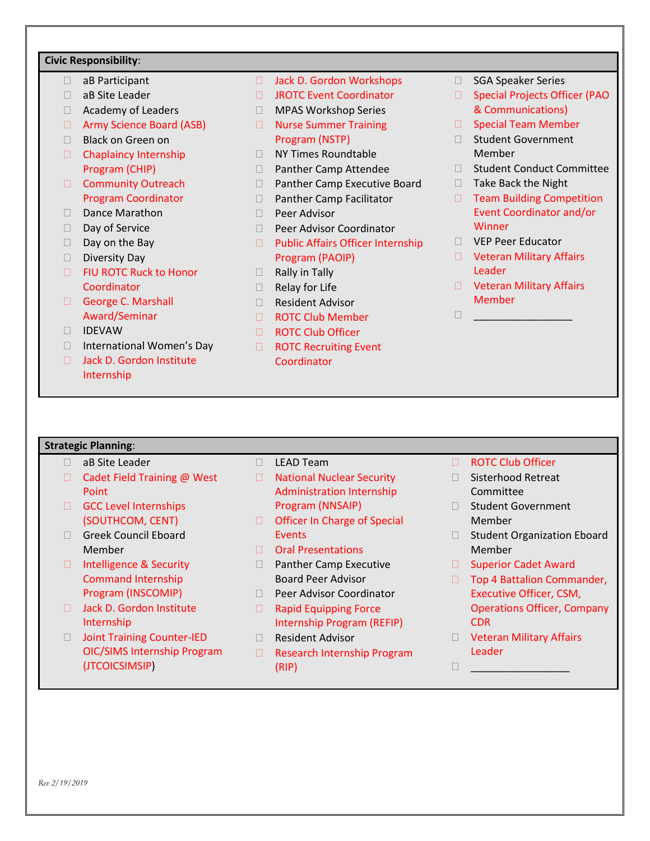## **Civic Responsibility**:

- aB Participant
- aB Site Leader
- Academy of Leaders
- □ Army Science Board (ASB)
- □ Black on Green on
- Chaplaincy Internship Program (CHIP)
- Community Outreach Program Coordinator
- Dance Marathon
- Day of Service
- $\Box$  Day on the Bay
- Diversity Day
- □ FIU ROTC Ruck to Honor **Coordinator**
- George C. Marshall Award/Seminar
- IDEVAW
- □ International Women's Day
- □ Jack D. Gordon Institute Internship
- □ Jack D. Gordon Workshops
- □ JROTC Event Coordinator
- MPAS Workshop Series
- □ Nurse Summer Training Program (NSTP)
- □ NY Times Roundtable
- □ Panther Camp Attendee
- □ Panther Camp Executive Board
- □ Panther Camp Facilitator
- □ Peer Advisor
- D Peer Advisor Coordinator
- □ Public Affairs Officer Internship Program (PAOIP)
- $\Box$  Rally in Tally
- $\Box$  Relay for Life
- Resident Advisor
- ROTC Club Member
- □ ROTC Club Officer
- □ ROTC Recruiting Event Coordinator
- □ SGA Speaker Series
- □ Special Projects Officer (PAO & Communications)
- □ Special Team Member
- □ Student Government Member
- □ Student Conduct Committee
- $\Box$  Take Back the Night
- □ Team Building Competition Event Coordinator and/or **Winner**
- VEP Peer Educator

 $\Box$ 

- **D** Veteran Military Affairs Leader
- D Veteran Military Affairs Member

#### **Strategic Planning**:

- □ aB Site Leader
- □ Cadet Field Training @ West Point
- GCC Level Internships (SOUTHCOM, CENT)
- Greek Council Eboard Member
- □ Intelligence & Security Command Internship Program (INSCOMIP)
- □ Jack D. Gordon Institute Internship
- □ Joint Training Counter-IED OIC/SIMS Internship Program (JTCOICSIMSIP)
- D LEAD Team
- □ National Nuclear Security Administration Internship Program (NNSAIP)
- □ Officer In Charge of Special **Events**
- Oral Presentations
- □ Panther Camp Executive Board Peer Advisor
- □ Peer Advisor Coordinator □ Rapid Equipping Force
- Internship Program (REFIP) □ Resident Advisor
- 
- □ Research Internship Program (RIP)
- □ ROTC Club Officer
- □ Sisterhood Retreat **Committee**
- □ Student Government Member
- □ Student Organization Eboard Member
- □ Superior Cadet Award
- □ Top 4 Battalion Commander, Executive Officer, CSM, Operations Officer, Company CDR
- D Veteran Military Affairs Leader
- \_\_\_\_\_\_\_\_\_\_\_\_\_\_\_\_\_